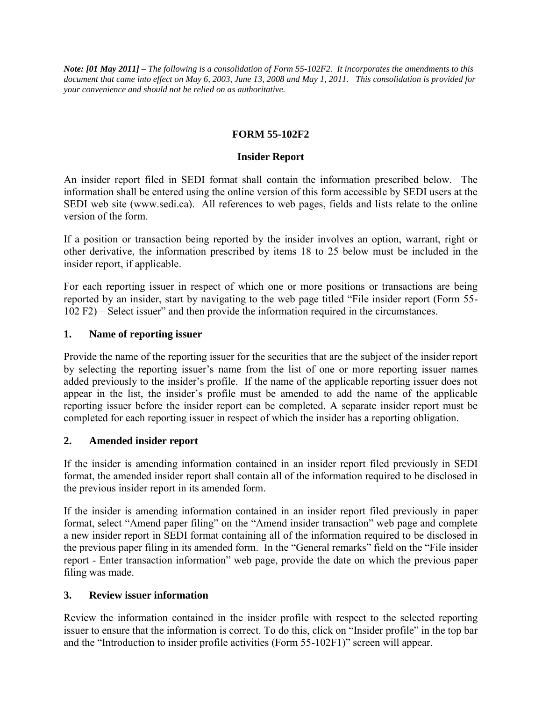*Note: [01 May 2011] – The following is a consolidation of Form 55-102F2. It incorporates the amendments to this document that came into effect on May 6, 2003, June 13, 2008 and May 1, 2011. This consolidation is provided for your convenience and should not be relied on as authoritative.* 

## **FORM 55-102F2**

### **Insider Report**

An insider report filed in SEDI format shall contain the information prescribed below. The information shall be entered using the online version of this form accessible by SEDI users at the SEDI web site (www.sedi.ca). All references to web pages, fields and lists relate to the online version of the form.

If a position or transaction being reported by the insider involves an option, warrant, right or other derivative, the information prescribed by items 18 to 25 below must be included in the insider report, if applicable.

For each reporting issuer in respect of which one or more positions or transactions are being reported by an insider, start by navigating to the web page titled "File insider report (Form 55- 102 F2) – Select issuer" and then provide the information required in the circumstances.

### **1. Name of reporting issuer**

Provide the name of the reporting issuer for the securities that are the subject of the insider report by selecting the reporting issuer's name from the list of one or more reporting issuer names added previously to the insider's profile. If the name of the applicable reporting issuer does not appear in the list, the insider's profile must be amended to add the name of the applicable reporting issuer before the insider report can be completed. A separate insider report must be completed for each reporting issuer in respect of which the insider has a reporting obligation.

#### **2. Amended insider report**

If the insider is amending information contained in an insider report filed previously in SEDI format, the amended insider report shall contain all of the information required to be disclosed in the previous insider report in its amended form.

If the insider is amending information contained in an insider report filed previously in paper format, select "Amend paper filing" on the "Amend insider transaction" web page and complete a new insider report in SEDI format containing all of the information required to be disclosed in the previous paper filing in its amended form. In the "General remarks" field on the "File insider report - Enter transaction information" web page, provide the date on which the previous paper filing was made.

### **3. Review issuer information**

Review the information contained in the insider profile with respect to the selected reporting issuer to ensure that the information is correct. To do this, click on "Insider profile" in the top bar and the "Introduction to insider profile activities (Form 55-102F1)" screen will appear.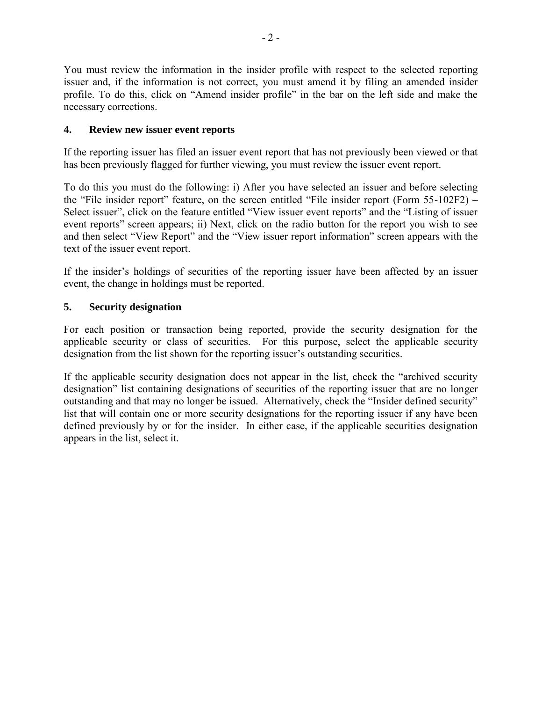You must review the information in the insider profile with respect to the selected reporting issuer and, if the information is not correct, you must amend it by filing an amended insider profile. To do this, click on "Amend insider profile" in the bar on the left side and make the necessary corrections.

## **4. Review new issuer event reports**

If the reporting issuer has filed an issuer event report that has not previously been viewed or that has been previously flagged for further viewing, you must review the issuer event report.

To do this you must do the following: i) After you have selected an issuer and before selecting the "File insider report" feature, on the screen entitled "File insider report (Form 55-102F2) – Select issuer", click on the feature entitled "View issuer event reports" and the "Listing of issuer event reports" screen appears; ii) Next, click on the radio button for the report you wish to see and then select "View Report" and the "View issuer report information" screen appears with the text of the issuer event report.

If the insider's holdings of securities of the reporting issuer have been affected by an issuer event, the change in holdings must be reported.

## **5. Security designation**

For each position or transaction being reported, provide the security designation for the applicable security or class of securities. For this purpose, select the applicable security designation from the list shown for the reporting issuer's outstanding securities.

If the applicable security designation does not appear in the list, check the "archived security designation" list containing designations of securities of the reporting issuer that are no longer outstanding and that may no longer be issued. Alternatively, check the "Insider defined security" list that will contain one or more security designations for the reporting issuer if any have been defined previously by or for the insider. In either case, if the applicable securities designation appears in the list, select it.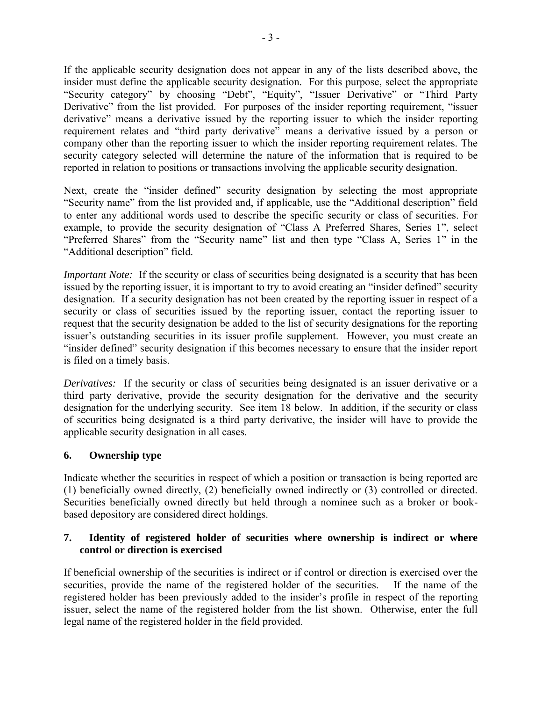If the applicable security designation does not appear in any of the lists described above, the insider must define the applicable security designation. For this purpose, select the appropriate "Security category" by choosing "Debt", "Equity", "Issuer Derivative" or "Third Party Derivative" from the list provided. For purposes of the insider reporting requirement, "issuer derivative" means a derivative issued by the reporting issuer to which the insider reporting requirement relates and "third party derivative" means a derivative issued by a person or company other than the reporting issuer to which the insider reporting requirement relates. The security category selected will determine the nature of the information that is required to be reported in relation to positions or transactions involving the applicable security designation.

Next, create the "insider defined" security designation by selecting the most appropriate "Security name" from the list provided and, if applicable, use the "Additional description" field to enter any additional words used to describe the specific security or class of securities. For example, to provide the security designation of "Class A Preferred Shares, Series 1", select "Preferred Shares" from the "Security name" list and then type "Class A, Series 1" in the "Additional description" field.

*Important Note:* If the security or class of securities being designated is a security that has been issued by the reporting issuer, it is important to try to avoid creating an "insider defined" security designation. If a security designation has not been created by the reporting issuer in respect of a security or class of securities issued by the reporting issuer, contact the reporting issuer to request that the security designation be added to the list of security designations for the reporting issuer's outstanding securities in its issuer profile supplement. However, you must create an "insider defined" security designation if this becomes necessary to ensure that the insider report is filed on a timely basis.

*Derivatives:* If the security or class of securities being designated is an issuer derivative or a third party derivative, provide the security designation for the derivative and the security designation for the underlying security. See item 18 below. In addition, if the security or class of securities being designated is a third party derivative, the insider will have to provide the applicable security designation in all cases.

### **6. Ownership type**

Indicate whether the securities in respect of which a position or transaction is being reported are (1) beneficially owned directly, (2) beneficially owned indirectly or (3) controlled or directed. Securities beneficially owned directly but held through a nominee such as a broker or bookbased depository are considered direct holdings.

### **7. Identity of registered holder of securities where ownership is indirect or where control or direction is exercised**

If beneficial ownership of the securities is indirect or if control or direction is exercised over the securities, provide the name of the registered holder of the securities. If the name of the registered holder has been previously added to the insider's profile in respect of the reporting issuer, select the name of the registered holder from the list shown. Otherwise, enter the full legal name of the registered holder in the field provided.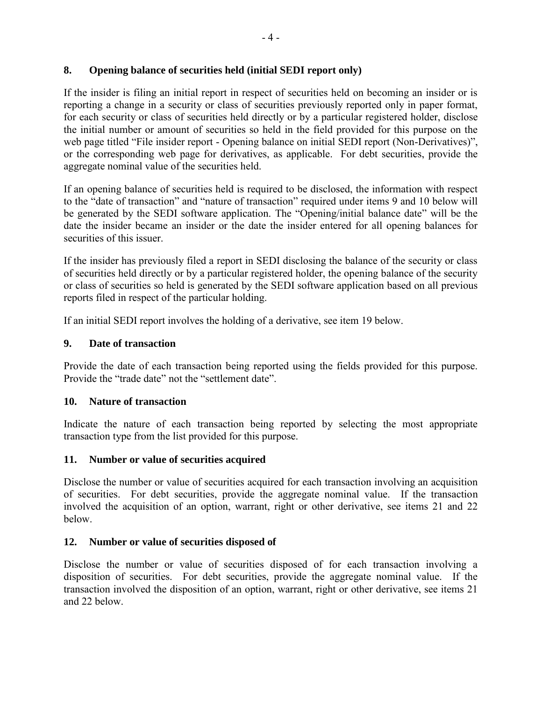### **8. Opening balance of securities held (initial SEDI report only)**

If the insider is filing an initial report in respect of securities held on becoming an insider or is reporting a change in a security or class of securities previously reported only in paper format, for each security or class of securities held directly or by a particular registered holder, disclose the initial number or amount of securities so held in the field provided for this purpose on the web page titled "File insider report - Opening balance on initial SEDI report (Non-Derivatives)", or the corresponding web page for derivatives, as applicable. For debt securities, provide the aggregate nominal value of the securities held.

If an opening balance of securities held is required to be disclosed, the information with respect to the "date of transaction" and "nature of transaction" required under items 9 and 10 below will be generated by the SEDI software application. The "Opening/initial balance date" will be the date the insider became an insider or the date the insider entered for all opening balances for securities of this issuer.

If the insider has previously filed a report in SEDI disclosing the balance of the security or class of securities held directly or by a particular registered holder, the opening balance of the security or class of securities so held is generated by the SEDI software application based on all previous reports filed in respect of the particular holding.

If an initial SEDI report involves the holding of a derivative, see item 19 below.

### **9. Date of transaction**

Provide the date of each transaction being reported using the fields provided for this purpose. Provide the "trade date" not the "settlement date".

### **10. Nature of transaction**

Indicate the nature of each transaction being reported by selecting the most appropriate transaction type from the list provided for this purpose.

### **11. Number or value of securities acquired**

Disclose the number or value of securities acquired for each transaction involving an acquisition of securities. For debt securities, provide the aggregate nominal value. If the transaction involved the acquisition of an option, warrant, right or other derivative, see items 21 and 22 below.

#### **12. Number or value of securities disposed of**

Disclose the number or value of securities disposed of for each transaction involving a disposition of securities. For debt securities, provide the aggregate nominal value. If the transaction involved the disposition of an option, warrant, right or other derivative, see items 21 and 22 below.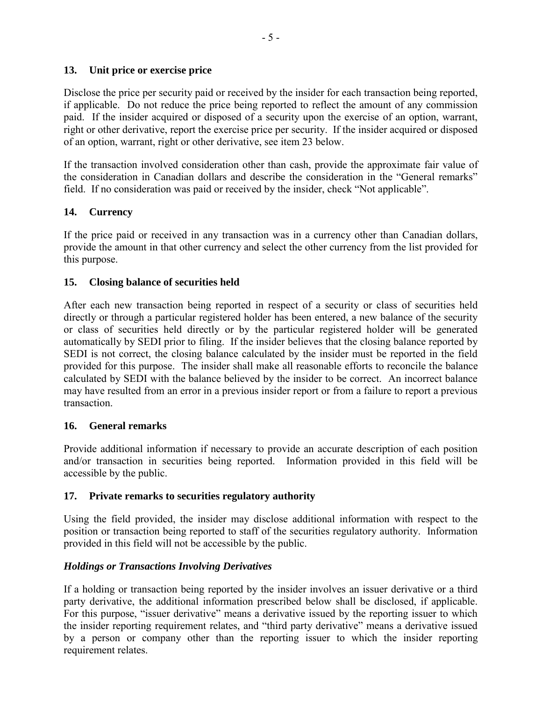### **13. Unit price or exercise price**

Disclose the price per security paid or received by the insider for each transaction being reported, if applicable. Do not reduce the price being reported to reflect the amount of any commission paid. If the insider acquired or disposed of a security upon the exercise of an option, warrant, right or other derivative, report the exercise price per security. If the insider acquired or disposed of an option, warrant, right or other derivative, see item 23 below.

If the transaction involved consideration other than cash, provide the approximate fair value of the consideration in Canadian dollars and describe the consideration in the "General remarks" field. If no consideration was paid or received by the insider, check "Not applicable".

# **14. Currency**

If the price paid or received in any transaction was in a currency other than Canadian dollars, provide the amount in that other currency and select the other currency from the list provided for this purpose.

## **15. Closing balance of securities held**

After each new transaction being reported in respect of a security or class of securities held directly or through a particular registered holder has been entered, a new balance of the security or class of securities held directly or by the particular registered holder will be generated automatically by SEDI prior to filing. If the insider believes that the closing balance reported by SEDI is not correct, the closing balance calculated by the insider must be reported in the field provided for this purpose. The insider shall make all reasonable efforts to reconcile the balance calculated by SEDI with the balance believed by the insider to be correct. An incorrect balance may have resulted from an error in a previous insider report or from a failure to report a previous transaction.

### **16. General remarks**

Provide additional information if necessary to provide an accurate description of each position and/or transaction in securities being reported. Information provided in this field will be accessible by the public.

### **17. Private remarks to securities regulatory authority**

Using the field provided, the insider may disclose additional information with respect to the position or transaction being reported to staff of the securities regulatory authority. Information provided in this field will not be accessible by the public.

# *Holdings or Transactions Involving Derivatives*

If a holding or transaction being reported by the insider involves an issuer derivative or a third party derivative, the additional information prescribed below shall be disclosed, if applicable. For this purpose, "issuer derivative" means a derivative issued by the reporting issuer to which the insider reporting requirement relates, and "third party derivative" means a derivative issued by a person or company other than the reporting issuer to which the insider reporting requirement relates.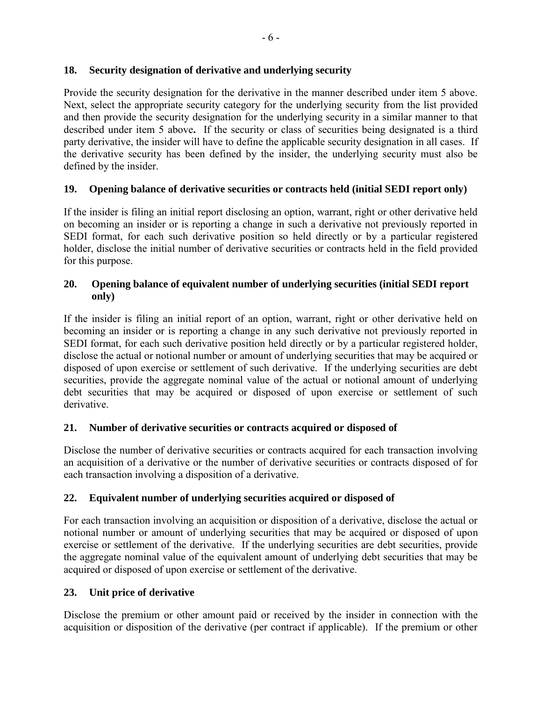### **18. Security designation of derivative and underlying security**

Provide the security designation for the derivative in the manner described under item 5 above. Next, select the appropriate security category for the underlying security from the list provided and then provide the security designation for the underlying security in a similar manner to that described under item 5 above**.** If the security or class of securities being designated is a third party derivative, the insider will have to define the applicable security designation in all cases.If the derivative security has been defined by the insider, the underlying security must also be defined by the insider.

### **19. Opening balance of derivative securities or contracts held (initial SEDI report only)**

If the insider is filing an initial report disclosing an option, warrant, right or other derivative held on becoming an insider or is reporting a change in such a derivative not previously reported in SEDI format, for each such derivative position so held directly or by a particular registered holder, disclose the initial number of derivative securities or contracts held in the field provided for this purpose.

### **20. Opening balance of equivalent number of underlying securities (initial SEDI report only)**

If the insider is filing an initial report of an option, warrant, right or other derivative held on becoming an insider or is reporting a change in any such derivative not previously reported in SEDI format, for each such derivative position held directly or by a particular registered holder, disclose the actual or notional number or amount of underlying securities that may be acquired or disposed of upon exercise or settlement of such derivative. If the underlying securities are debt securities, provide the aggregate nominal value of the actual or notional amount of underlying debt securities that may be acquired or disposed of upon exercise or settlement of such derivative.

### **21. Number of derivative securities or contracts acquired or disposed of**

Disclose the number of derivative securities or contracts acquired for each transaction involving an acquisition of a derivative or the number of derivative securities or contracts disposed of for each transaction involving a disposition of a derivative.

### **22. Equivalent number of underlying securities acquired or disposed of**

For each transaction involving an acquisition or disposition of a derivative, disclose the actual or notional number or amount of underlying securities that may be acquired or disposed of upon exercise or settlement of the derivative. If the underlying securities are debt securities, provide the aggregate nominal value of the equivalent amount of underlying debt securities that may be acquired or disposed of upon exercise or settlement of the derivative.

# **23. Unit price of derivative**

Disclose the premium or other amount paid or received by the insider in connection with the acquisition or disposition of the derivative (per contract if applicable). If the premium or other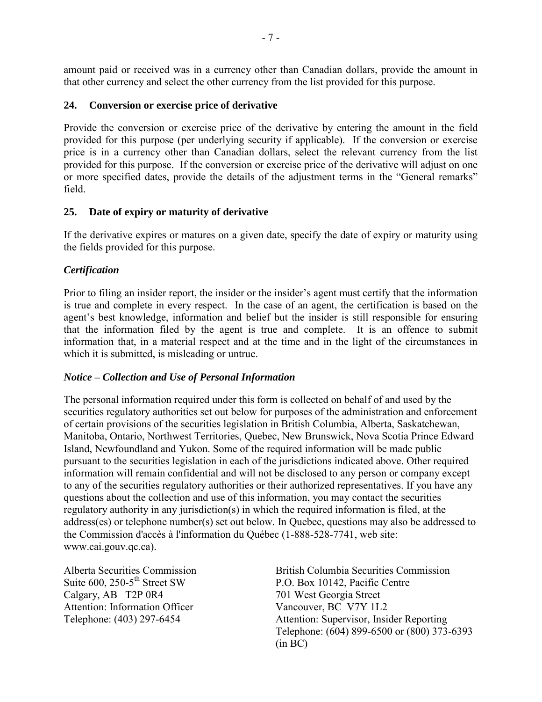amount paid or received was in a currency other than Canadian dollars, provide the amount in that other currency and select the other currency from the list provided for this purpose.

### **24. Conversion or exercise price of derivative**

Provide the conversion or exercise price of the derivative by entering the amount in the field provided for this purpose (per underlying security if applicable). If the conversion or exercise price is in a currency other than Canadian dollars, select the relevant currency from the list provided for this purpose. If the conversion or exercise price of the derivative will adjust on one or more specified dates, provide the details of the adjustment terms in the "General remarks" field.

### **25. Date of expiry or maturity of derivative**

If the derivative expires or matures on a given date, specify the date of expiry or maturity using the fields provided for this purpose.

### *Certification*

Prior to filing an insider report, the insider or the insider's agent must certify that the information is true and complete in every respect. In the case of an agent, the certification is based on the agent's best knowledge, information and belief but the insider is still responsible for ensuring that the information filed by the agent is true and complete. It is an offence to submit information that, in a material respect and at the time and in the light of the circumstances in which it is submitted, is misleading or untrue.

### *Notice – Collection and Use of Personal Information*

The personal information required under this form is collected on behalf of and used by the securities regulatory authorities set out below for purposes of the administration and enforcement of certain provisions of the securities legislation in British Columbia, Alberta, Saskatchewan, Manitoba, Ontario, Northwest Territories, Quebec, New Brunswick, Nova Scotia Prince Edward Island, Newfoundland and Yukon. Some of the required information will be made public pursuant to the securities legislation in each of the jurisdictions indicated above. Other required information will remain confidential and will not be disclosed to any person or company except to any of the securities regulatory authorities or their authorized representatives. If you have any questions about the collection and use of this information, you may contact the securities regulatory authority in any jurisdiction(s) in which the required information is filed, at the address(es) or telephone number(s) set out below. In Quebec, questions may also be addressed to the Commission d'accès à l'information du Québec (1-888-528-7741, web site: www.cai.gouv.qc.ca).

Alberta Securities Commission Suite 600, 250-5<sup>th</sup> Street SW Calgary, AB T2P 0R4 Attention: Information Officer Telephone: (403) 297-6454

British Columbia Securities Commission P.O. Box 10142, Pacific Centre 701 West Georgia Street Vancouver, BC V7Y 1L2 Attention: Supervisor, Insider Reporting Telephone: (604) 899-6500 or (800) 373-6393 (in BC)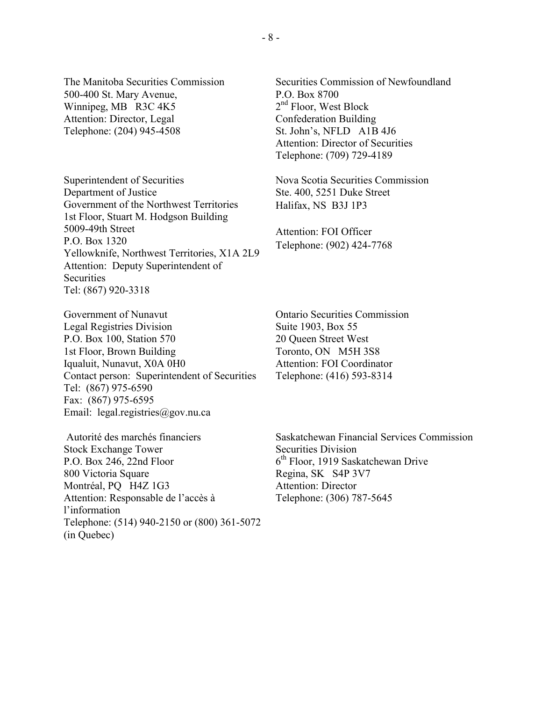The Manitoba Securities Commission 500-400 St. Mary Avenue, Winnipeg, MB R3C 4K5 Attention: Director, Legal Telephone: (204) 945-4508

Superintendent of Securities Department of Justice Government of the Northwest Territories 1st Floor, Stuart M. Hodgson Building 5009-49th Street P.O. Box 1320 Yellowknife, Northwest Territories, X1A 2L9 Attention: Deputy Superintendent of **Securities** Tel: (867) 920-3318

Government of Nunavut Legal Registries Division P.O. Box 100, Station 570 1st Floor, Brown Building Iqualuit, Nunavut, X0A 0H0 Contact person: Superintendent of Securities Tel: (867) 975-6590 Fax: (867) 975-6595 Email: legal.registries@gov.nu.ca

Autorité des marchés financiers Stock Exchange Tower P.O. Box 246, 22nd Floor 800 Victoria Square Montréal, PQ H4Z 1G3 Attention: Responsable de l'accès à l'information Telephone: (514) 940-2150 or (800) 361-5072 (in Quebec)

Securities Commission of Newfoundland P.O. Box 8700 2<sup>nd</sup> Floor, West Block Confederation Building St. John's, NFLD A1B 4J6 Attention: Director of Securities Telephone: (709) 729-4189

Nova Scotia Securities Commission Ste. 400, 5251 Duke Street Halifax, NS B3J 1P3

Attention: FOI Officer Telephone: (902) 424-7768

Ontario Securities Commission Suite 1903, Box 55 20 Queen Street West Toronto, ON M5H 3S8 Attention: FOI Coordinator Telephone: (416) 593-8314

Saskatchewan Financial Services Commission Securities Division 6<sup>th</sup> Floor, 1919 Saskatchewan Drive Regina, SK S4P 3V7 Attention: Director Telephone: (306) 787-5645